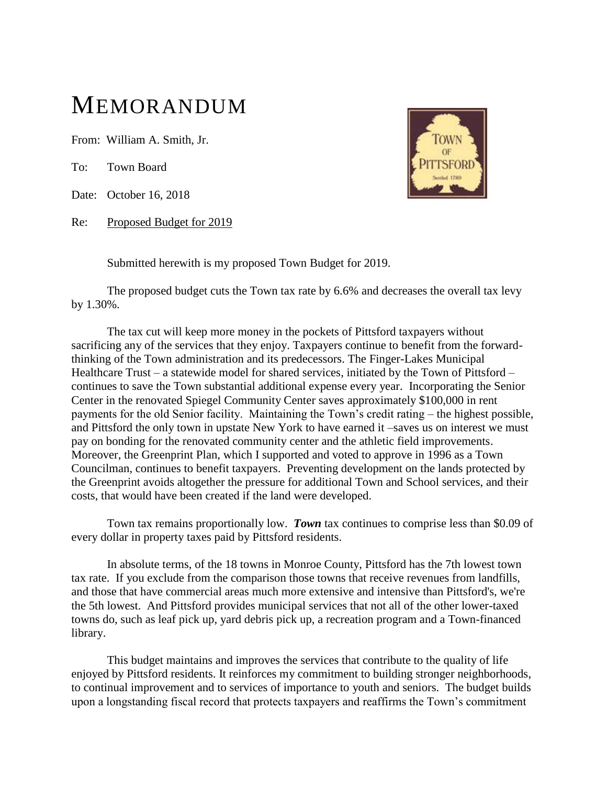## MEMORANDUM

From: William A. Smith, Jr.

To: Town Board

Date: October 16, 2018

Re: Proposed Budget for 2019



Submitted herewith is my proposed Town Budget for 2019.

The proposed budget cuts the Town tax rate by 6.6% and decreases the overall tax levy by 1.30%.

The tax cut will keep more money in the pockets of Pittsford taxpayers without sacrificing any of the services that they enjoy. Taxpayers continue to benefit from the forwardthinking of the Town administration and its predecessors. The Finger-Lakes Municipal Healthcare Trust – a statewide model for shared services, initiated by the Town of Pittsford – continues to save the Town substantial additional expense every year. Incorporating the Senior Center in the renovated Spiegel Community Center saves approximately \$100,000 in rent payments for the old Senior facility. Maintaining the Town's credit rating – the highest possible, and Pittsford the only town in upstate New York to have earned it –saves us on interest we must pay on bonding for the renovated community center and the athletic field improvements. Moreover, the Greenprint Plan, which I supported and voted to approve in 1996 as a Town Councilman, continues to benefit taxpayers. Preventing development on the lands protected by the Greenprint avoids altogether the pressure for additional Town and School services, and their costs, that would have been created if the land were developed.

Town tax remains proportionally low. *Town* tax continues to comprise less than \$0.09 of every dollar in property taxes paid by Pittsford residents.

In absolute terms, of the 18 towns in Monroe County, Pittsford has the 7th lowest town tax rate. If you exclude from the comparison those towns that receive revenues from landfills, and those that have commercial areas much more extensive and intensive than Pittsford's, we're the 5th lowest. And Pittsford provides municipal services that not all of the other lower-taxed towns do, such as leaf pick up, yard debris pick up, a recreation program and a Town-financed library.

This budget maintains and improves the services that contribute to the quality of life enjoyed by Pittsford residents. It reinforces my commitment to building stronger neighborhoods, to continual improvement and to services of importance to youth and seniors. The budget builds upon a longstanding fiscal record that protects taxpayers and reaffirms the Town's commitment